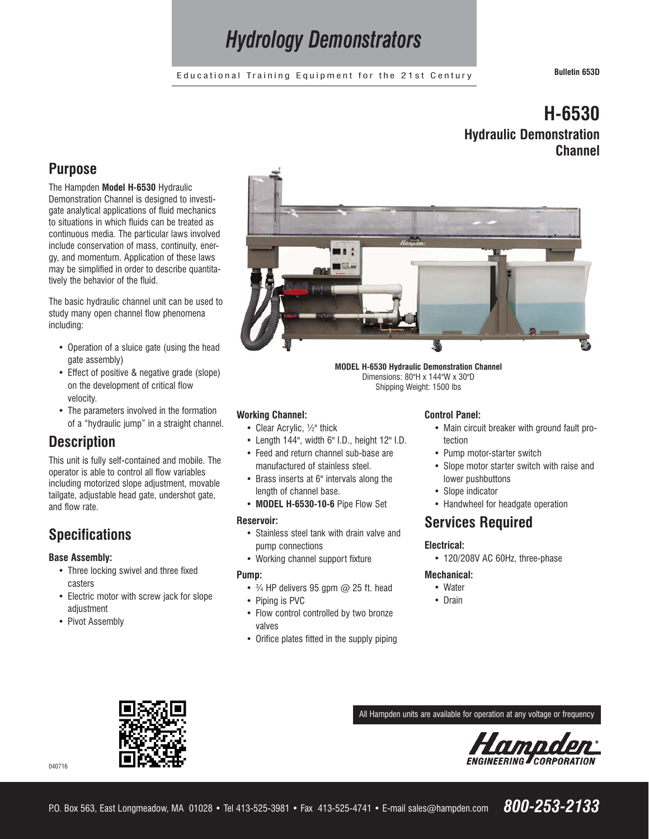# *Hydrology Demonstrators*

Educational Training Equipment for the 21st Century **Bulletin 653D**

# **H-6530 Hydraulic Demonstration Channel**

### **Purpose**

The Hampden **Model H-6530** Hydraulic Demonstration Channel is designed to investigate analytical applications of fluid mechanics to situations in which fluids can be treated as continuous media. The particular laws involved include conservation of mass, continuity, energy, and momentum. Application of these laws may be simplified in order to describe quantitatively the behavior of the fluid.

The basic hydraulic channel unit can be used to study many open channel flow phenomena including:

- **•** Operation of a sluice gate (using the head gate assembly)
- **•** Effect of positive & negative grade (slope) on the development of critical flow velocity.
- **•** The parameters involved in the formation of a "hydraulic jump" in a straight channel.

## **Description**

This unit is fully self-contained and mobile. The operator is able to control all flow variables including motorized slope adjustment, movable tailgate, adjustable head gate, undershot gate, and flow rate.

## **Specifications**

#### **Base Assembly:**

- **•** Three locking swivel and three fixed casters
- **•** Electric motor with screw jack for slope adjustment
- **•** Pivot Assembly



**MODEL H-6530 Hydraulic Demonstration Channel** Dimensions: 80"H x 144"W x 30"D Shipping Weight: 1500 lbs

#### **Working Channel:**

- **•** Clear Acrylic, ½" thick
- **•** Length 144", width 6" I.D., height 12" I.D.
- **•** Feed and return channel sub-base are manufactured of stainless steel.
- **•** Brass inserts at 6" intervals along the length of channel base.
- **MODEL H-6530-10-6** Pipe Flow Set

#### **Reservoir:**

- **•** Stainless steel tank with drain valve and pump connections
- **•** Working channel support fixture

#### **Pump:**

- **•** ¾ HP delivers 95 gpm @ 25 ft. head
- **•** Piping is PVC
- **•** Flow control controlled by two bronze valves
- **•** Orifice plates fitted in the supply piping

#### **Control Panel:**

- **•** Main circuit breaker with ground fault protection
- **•** Pump motor-starter switch
- **•** Slope motor starter switch with raise and lower pushbuttons
- **•** Slope indicator
- **•** Handwheel for headgate operation

### **Services Required**

#### **Electrical:**

**•** 120/208V AC 60Hz, three-phase

#### **Mechanical:**

- **•** Water
- **•** Drain

All Hampden units are available for operation at any voltage or frequency





P.O. Box 563, East Longmeadow, MA 01028 • Tel 413-525-3981 • Fax 413-525-4741 • E-mail sales@hampden.com *800-253-2133*